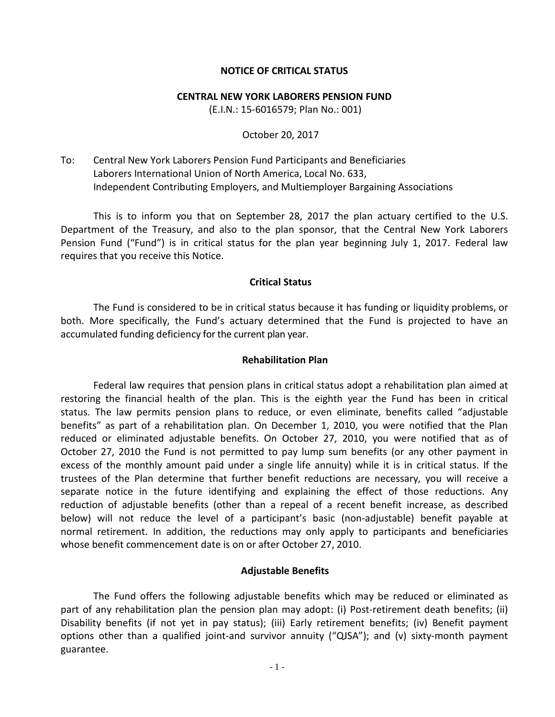#### **NOTICE OF CRITICAL STATUS**

#### **CENTRAL NEW YORK LABORERS PENSION FUND**

(E.I.N.: 15-6016579; Plan No.: 001)

#### October 20, 2017

To: Central New York Laborers Pension Fund Participants and Beneficiaries Laborers International Union of North America, Local No. 633, Independent Contributing Employers, and Multiemployer Bargaining Associations

This is to inform you that on September 28, 2017 the plan actuary certified to the U.S. Department of the Treasury, and also to the plan sponsor, that the Central New York Laborers Pension Fund ("Fund") is in critical status for the plan year beginning July 1, 2017. Federal law requires that you receive this Notice.

# **Critical Status**

The Fund is considered to be in critical status because it has funding or liquidity problems, or both. More specifically, the Fund's actuary determined that the Fund is projected to have an accumulated funding deficiency for the current plan year.

#### **Rehabilitation Plan**

Federal law requires that pension plans in critical status adopt a rehabilitation plan aimed at restoring the financial health of the plan. This is the eighth year the Fund has been in critical status. The law permits pension plans to reduce, or even eliminate, benefits called "adjustable benefits" as part of a rehabilitation plan. On December 1, 2010, you were notified that the Plan reduced or eliminated adjustable benefits. On October 27, 2010, you were notified that as of October 27, 2010 the Fund is not permitted to pay lump sum benefits (or any other payment in excess of the monthly amount paid under a single life annuity) while it is in critical status. If the trustees of the Plan determine that further benefit reductions are necessary, you will receive a separate notice in the future identifying and explaining the effect of those reductions. Any reduction of adjustable benefits (other than a repeal of a recent benefit increase, as described below) will not reduce the level of a participant's basic (non-adjustable) benefit payable at normal retirement. In addition, the reductions may only apply to participants and beneficiaries whose benefit commencement date is on or after October 27, 2010.

# **Adjustable Benefits**

The Fund offers the following adjustable benefits which may be reduced or eliminated as part of any rehabilitation plan the pension plan may adopt: (i) Post-retirement death benefits; (ii) Disability benefits (if not yet in pay status); (iii) Early retirement benefits; (iv) Benefit payment options other than a qualified joint-and survivor annuity ("QJSA"); and (v) sixty-month payment guarantee.